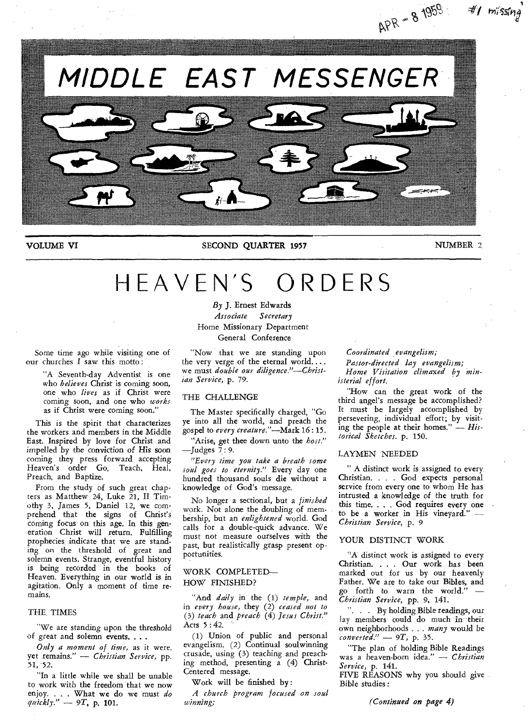

## **VOLUME VI SECOND QUARTER 1957** NUMBER 2,

# HEAVEN'S ORDERS

*By* **J.** Ernest Edwards *Associate Secretary* 

Home Missionary Department General Conference

Some time ago while visiting one of our churches I saw this motto :

> "A Seventh-day Adventist is one who *believes* Christ is coming soon, one who *lives* as if Christ were coming soon, and one who *works*  as if Christ were coming soon."

This is the spirit that characterizes the workers and members in the Middle East. Inspired by love for Christ and impelled by the conviction of His soon coming they press forward accepting Heaven's order Go, Teach, Heal, Preach, and Baptize.

From the study of such great chapters as Matthew 24, Luke 21, II Timothy 3, James 5, Daniel 12, we comprehend that the signs of Christ's coming focus on this age. In this generation Christ will return. Fulfilling prophecies indicate that we are standing on the threshold of great and solemn events. Strange, eventful history is being recorded in the books of Heaven. Everything in our world is in agitation. Only a moment of time remains.

### THE. TIMES

"We are standing upon the threshold of great and solemn events. . . .

*Only a moment of time,* as it were, yet remains." — *Christian Service,* pp. 51, 52.

"In a little while we shall be unable to work with the freedom that we now enjoy. . . . What we do we must *do quickly." — 9T,* p. **101.** 

"Now that we are standing upon the very verge of the eternal world.... we must *double our diligence."—Christian Service,* p. 79.

### THE CHALLENGE

The Master specifically charged, "Go ye into all the world, and preach the gospel to *every creature."—Mark* 16 : 15.

"Arise, get thee down unto the *host."*  —Judges 7 : *9.* 

*"Every time you take a breath some soul goes to eternity."* Every day one hundred thousand souls die without a knowledge of God's message.

No longer a sectional, but a *finished*  work. Not alone the doubling of membership, but an *enlightened* world. God calls for a double-quick advance. We must not measure ourselves with the past, but realistically grasp present opportunities.

### WORK COMPLETED— HOW FINISHED?

"And *daily* in the (1) *temple,* and in *every house,* they (2) *ceased not to*  (3) *teach* and *preach* (4) *Jesus Christ."*  Acts 5 : 42.

(1) Union of public and personal evangelism. (2) Continual soulwinning crusade, using (3) teaching and preaching method, presenting a (4) Christ-Centered message.

Work will be finished by :

*A church program focused on soul winning;* 

*Coordinated ,evangelism;* 

*Pastor-directed lay evangelism;* 

*Home Visitation climaxed by ministerial effort.* 

"How can the great work of the third angel's message be accomplished? It must be largely accomplished by persevering, individual effort; by visiting the people at their homes." — *Historical Sketches.* p. 150.

### LAYMEN NEEDED

" A distinct work is assigned to every. Christian. . . . God expects personal service from every one to whom He has intrusted a knowledge of the truth for this time. . . . God requires every one to be a worker in His vineyard." *— Christian Service,* p. 9

## YOUR DISTINCT WORK

"A distinct work is assigned to every Christian. . . . Our work has been marked out for us by our heavenly Father. We are to take our Bibles, and go forth to warn the world." *— Christian Service,* pp. 9, 141.

". . . By holding Bible readings, our lay members could do much in their own neighborhoods . . . many would be *converted." —* 9T, p. 35.

"The plan of holding Bible Readings was a heaven-born idea." — *Christian Service,* p. 141.

FIVE REASONS why you should give Bible studies :

*(Continued* on *page* **4)**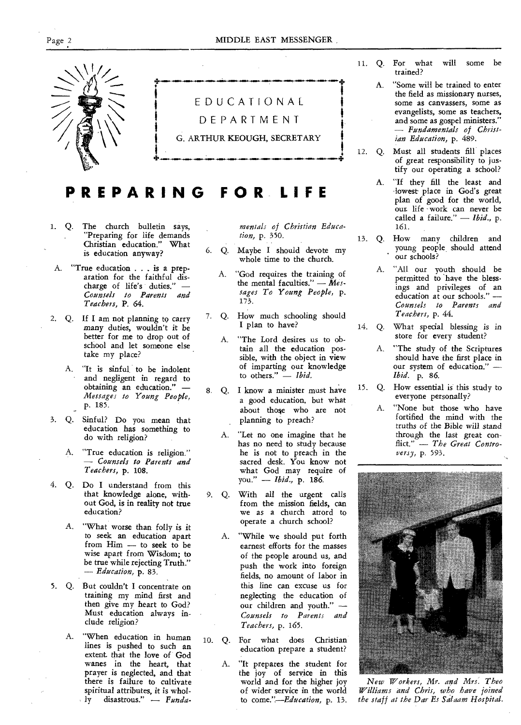

# **PREPARING FOR. LIFE**

- 1. Q. The church bulletin says, "Preparing for life demands Christian education." What is education anyway?
- A. "True education . . . is a preparation for the faithful discharge of life's duties." *— Counsels to Parents and Teachers,* P. 64.
- 2. Q. If I am not planning to carry many duties, wouldn't it be better for me to drop out of school and let someone else take my place?
	- A. "It is sinful to be indolent and negligent in regard to obtaining an education." *— Messages to Young People,*  p. 185.
- 3. Q. Sinful? Do you mean that education has something to do with religion?
	- A. "True education is religion." *— Counsels to Parents and Teachers,* p. 108.
- 4. Q. Do I understand from this that knowledge alone, without God, is in reality not true education?
	- A. "What worse than folly is it to seek an education apart from Him — to seek to be wise apart from Wisdom; to be true while rejecting Truth." *— Education,* p. 83.
- 5. Q. But couldn't I concentrate on training my mind first and then give my heart to God? Must education always include religion?
	- A. "When education in human lines is pushed to such an extent. that the love of God wanes in the heart, that prayer is neglected, and that there is failure to cultivate spiritual attributes, it is whol-<br> $y$  disastrous." - Fundadisastrous." - Funda-

*mentals of Christian Education,* p. 350.

- 6. Q. Maybe I should devote my whole time to the church.
	- A. "God requires the training of the mental faculties." - Mes*sages To Young People,* p. 173.
- 7. Q. How much schooling should I plan to have?
	- A. "The Lord desires us to obtain all the education possible, with the object in view of imparting our knowledge<br>to others."  $-$  Ibid. to others."
- 8. Q. I know a minister must have a good education, but what about those who are not planning to preach?
	- A. "Let no one imagine that he has no need to study because he is not to preach in the sacred desk. You know not what God may require of you." — *Ibid.,* p. 186.
- 9. Q. With all the urgent calls from the mission fields, can we as a church atrord to operate a church school?
	- A. "While we should put forth earnest efforts for the masses of the people around us, and push the work into foreign fields, no amount of labor in this line can excuse us for neglecting the education of our children and youth." *— Counsels to Parents and Teachers,* p. 165.
- 10. Q. For what does Christian education prepare a student?
	- A. "It prepares the student for the joy of service in this world and for the higher joy of wider service in the world to *come."—Education,* p. 13.
- 11. Q. For what will some be trained?
	- A. "Some will be trained to enter the field as missionary nurses, some as canvassers, some as evangelists, some as teachers, and some as gospel ministers." *— Fundamentals of Christian Education,* p. 489.
- 12. Q. Must all students fill places of great responsibility to justify our operating a school?
	- A. "If they fill the least and -lowest place in God's great plan of good for the world, out life work can never be called a failure." — *Ibid.,* p. 161.
- 13. Q. How many children and young people should attend  $\ddot{\phantom{a}}$ our schools?
	- A. "All our youth should be permitted to have the blessings and privileges of an education at our schools." *— Counsels to Parents and Teachers,* p. 44.
- 14. Q. What special blessing is in store for every student?
	- A. "The study of the Scriptures should have the first place in our system of education." *— Ibid.* p. 86.
- 15. Q. How essential is this study to everyone personally?
	- A. "None but those who have fortified the mind with the truths of the Bible will stand through the last great conflict." — *The Great Controversy,* p. 593.



*New Workers, Mr. and Mrs. Theo Williams and Chris, who have joined the staff at the Dar Es Salaam Hospital.*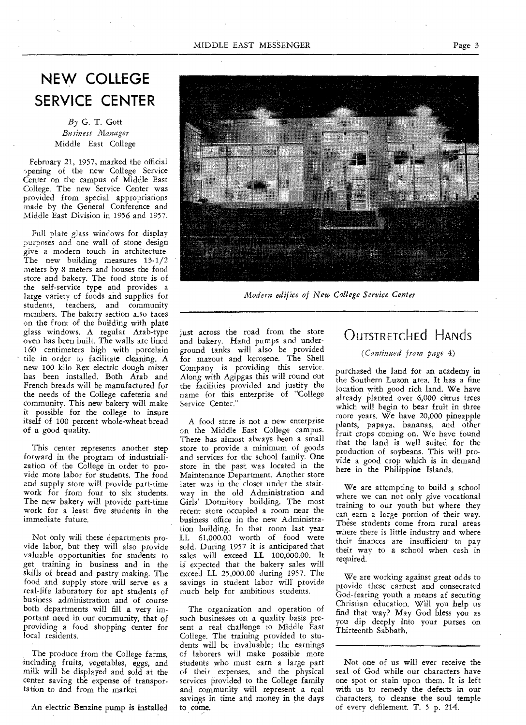# **NEW COLLEGE SERVICE CENTER**

*By* G. T. Gott *Business Manager*  Middle East College

February 21, 1957, marked the official opening of the new College Service Center on the campus of Middle East College. The new Service Center was provided from special appropriations made by the General Conference and Middle East Division in 1956 and 1957.

Full plate glass windows for display purposes and one wall of stone design give a modern touch in architecture. The new building measures 13-1/2 meters by 8 meters and houses the food store and bakery. The food store is of the self-service type and provides a large variety of foods and supplies for students, teachers, and community members. The bakery section also faces on the front of the building with plate glass windows. A regular Arab-type oven has been built. The walls are lined 160 centimeters high with porcelain tile in order to facilitate cleaning. A new 100 kilo Rex electric dough mixer has been installed. Both Arab and French breads will be manufactured for the needs of the College cafeteria and community. This new bakery will make it possible for the college to insure itself of 100 percent whole-wheat bread of a good quality.

This center represents another step forward in the program of industrialization of the College in order to provide more labor for students. The food and supply store will provide part-time work for from four to six students. The new bakery will provide part-time work for a least five students in the immediate future.

Not only will these departments provide labor, but they will also provide valuable opportunities for students to get training in business and in the skills of bread and pastry making. The food and supply store will serve as a real-life laboratory for apt students of business administration and of course both departments will fill a very important need in our community, that of providing a food shopping center for local residents.

The produce from the College farms, including fruits, vegetables, eggs, and milk will be displayed and sold at the center saving the expense of transportation to and from the market.

An electric Benzine pump is installed



*Modern edifice of New College Service Center* 

just across the road from the store and bakery. Hand pumps and underground tanks will also be provided for mazout and kerosene. The Shell Company is providing this service. Along with Agipgas this will round out the facilities provided and justify the name for this enterprise of "College Service Center."

A food store is not a new enterprise on the Middle East College campus. There has almost always been a small store to provide a minimum of goods and services for the school family. One store in the past was located in the Maintenance Department. Another store later was in the closet under the stairway in the old Administration and Girls' Dormitory building. The most recent store occupied a room near the business office in the new Administration building. In that room last year LL 61,000.00 worth of food were sold. During 1957 it is anticipated that sales will exceed LL 100,000.00. It is expected that the bakery sales will exceed LL 25,000.00 during 1957. The savings in student labor will provide much help for ambitious students.

The organization and operation of such businesses on a quality basis present a real challenge to Middle East College. The training provided to students will be invaluable; the earnings of laborers will make possible more students who must earn a large part of their expenses, and the physical services provided to the College family and community will represent a real savings in time and money in the days to come.

# OUTSTRETChEd HANdS

*(Continued from page* 4)

purchased the land for an academy in the Southern Luzon area. It has a fine location with good rich land. We have already planted over 6,000 citrus trees which will begin to bear fruit in three more years. We have 20,000 pineapple plants, papaya, bananas, and other fruit crops coming on. We have found that the land is well suited for the production of soybeans. This will provide a good crop which is in demand here in the Philippine Islands.

We are attempting to build a school where we can not only give vocational training to our youth but where they can earn a large portion of their way. These students come from rural areas where there is little industry and where their finances are insufficient to pay their way to a school when cash in required.

We are working against great odds to provide these earnest and consecrated God-fearing youth a means af securing Christian education. Will you help us find that way? May God bless you as you dip deeply into your purses on Thirteenth Sabbath.

Not one of us will ever receive the seal of God while our characters have one spot or stain upon them. It is left with us to remedy the defects in our characters, to cleanse the soul temple of every defilement. T. 5 p. 214.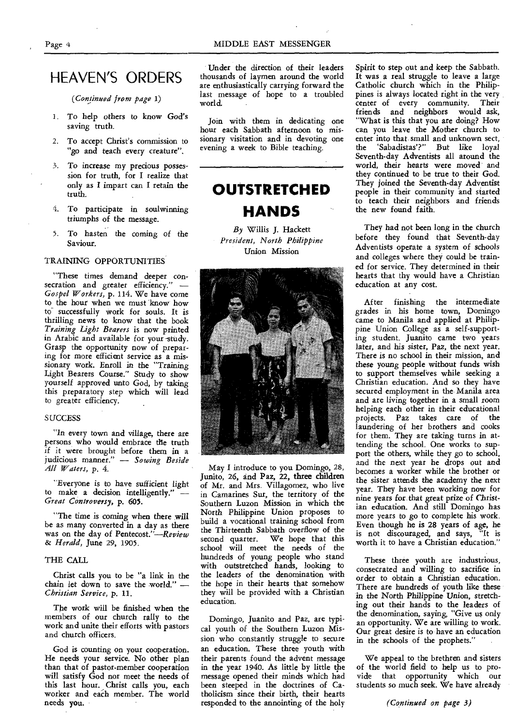# HEAVEN'S ORDERS

*(Continued from page 1)* 

- 1. To help others to know God's saving truth.
- 2. To accept Christ's commission to "go and teach every creature".
- 3. To increase my precious possession for truth, for I realize that only as I impart can I retain the truth.
- 4. To participate in soulwinning triumphs of the message.
- 5. To *hasten* the coming of the Saviour.

#### TRAINING OPPORTUNITIES

"These times demand deeper consecration and greater efficiency." *— Gospel Workers,* p. 114. We have come to the hour when we must know how to successfully work for souls. It is thrilling news to know that the book *Training Light Bearers* is now printed in Arabic and available for your -study. Grasp the opportunity now of preparing for more efficient service as a missionary work. Enroll in the *"Training*  Light Bearers Course." Study to show yourself approved unto God, by taking this preparatory step which will lead to greater efficiency.

#### **SUCCESS**

"In every town and village, there are persons who would embrace the truth if it were brought before them in a judicious manner." — *Sowing Beside All Waters,* p. 4.

"Everyone is to have sufficient light to make a decision intelligently." *— Great Controversy,* p. 605.

"The time is coming *when* there will be as many converted in a day as there was on the day of Pentecost."—Review *& Herald,* June 29, 1905.

### THE CALL

Christ calls you to be "a link in the chain let down to save the world." *— Christian Service,* p. 11.

The work will be finished when the members of our church rally to the work and unite their efforts with pastors and church officers.

God is counting on your cooperation. He needs your service. No other plan than that of pastor-member cooperation will satisfy God nor meet the needs of this last hour. Christ calls you, each worker and each member. The world needs you.

thousands of laymen around the world are enthusiastically carrying forward the last message of hope to a troubled world. Under the direction of their leaders

Join with them in dedicating one hour each Sabbath afternoon to missionary visitation and in devoting one evening a week to Bible teaching.

# **OUTSTRETCHED HANDS**

*By* Willis J. Hackett *President, North Philippine*  Union Mission



May I introduce to you Domingo, 28, Junito, 26, and Paz, 22, three children of Mr. and Mrs. Villagomez, who live in Camarines Sur, the territory of the Southern Luzon Mission in which the North Philippine Union proposes to build a vocational training school from the Thirteenth Sabbath overflow of the second quarter. We hope that this school will meet the needs of the hundreds of young people who stand with outstretched hands, looking to the leaders of the denomination with the hope in their hearts that somehow they will be provided with a Christian education.

Domingo, Juanito and Paz, are typical youth of the Southern Luzon Mission who constantly struggle to secure an education. These three youth with their parents found the advent message in the year 1940. As little by little the message opened their minds which had been steeped in the doctrines of Catholicism since their birth, their hearts responded to the annointing of the holy

Spirit to step out and keep the Sabbath. It was a real struggle to leave a large Catholic church which in the Philippines is always located right in the very center of every community. Their friends and neighbors would ask, "What is this that you are doing? How can you leave the Mother church to enter into that small and unknown sect,<br>the 'Sabadistas'?" But like loval 'Sabadistas'?" But like loyal Seventh-day Adventists all around the world, their hearts were moved and they continued to be true to their God. They joined the Seventh-day Adventist people in their community and started to teach their neighbors and friends the new found faith.

They had not been long in the church before they found that Seventh-day Adventists operate a system of schools and colleges where they could be trained for service. They determined in their hearts that thy would have a Christian education at any cost.

After finishing the intermediate grades in his home town, Domingo came to Manila and applied at Philippine Union College as a self-supporting student. Juanito came two years later, and his *sister,* Paz, the next year. There is no school in their mission, and these *young* people without funds *wish*  to support themselves while seeking a Christian education. And so they have secured employment in the Manila area and are living together in a small room helping each other in their educational projects. Paz takes care of the laundering of her brothers and cooks for them. They are taking turns in attending the school. One works to support the others, while they go to school, and the next year he drops out and becomes a worker while the brother or the *sister* attends the academy the next year. They have been working now for nine years for that great prize of Christian education. And still Domingo has more years to go to complete his work. Even though he is 28 years of age, he is not discouraged, and says, "It is worth it to have a Christian education."

These three youth are industrious, consecrated and willing to sacrifice in order to obtain a Christian education. There are hundreds of youth like these in the North Philippine *Union,* stretching out their hands to the leaders of the denomination, saying, *"Give* us only an opportunity. We are willing to work. Our great desire is to have an education in the schools of the prophets."

We appeal to the brethren and sisters of the world field to help us to provide that opportunity which our students so much seek. We have already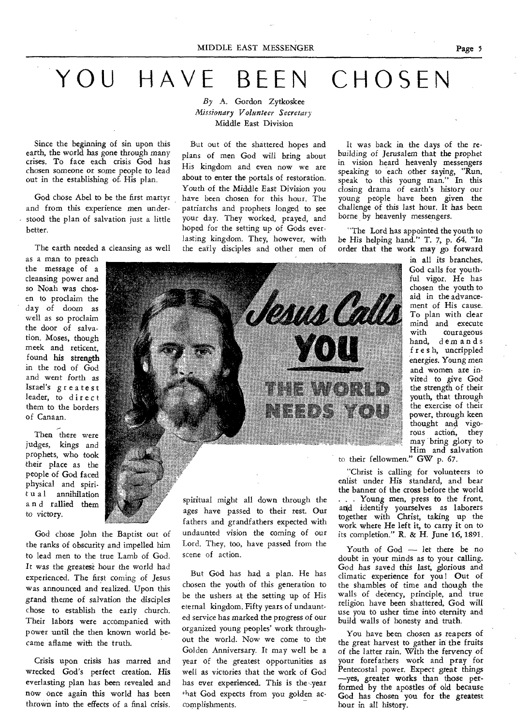# YOU HAVE BEEN CHOSEN

*By* A. Gordon Zytkoskee *Missionary Volunteer Secretary*  Middle East Division

But out of the shattered hopes and plans of men God will bring about His kingdom and even now we are about to enter the portals of restoration. Youth of the Middle East Division you have been chosen for this hour. The patriarchs and prophets longed to see your day. They worked, prayed, and hoped for the setting up of Gods everlasting kingdom. They, however, with the early disciples and other men of

Since the beginning of sin upon this earth, the world has gone through many crises. To face each crisis God has chosen someone or some people to lead out in the establishing of. His plan.

God chose Abel to be the first martyr and from this experience men understood the plan of salvation just a little better.

The earth needed a cleansing as well

as a man to preach the message of a cleansing power and so Noah was chosen to proclaim the day of doom as well as so proclaim the door of salvation. Moses, though meek and reticent, found his strength in the rod of God and went forth as Israel's greatest leader, to direct them to the borders of Canaan.

Then there were judges, kings and prophets, who took their place as the people of God faced physical and spirit u a 1 annihilation a n d rallied them to victory.

God chose John the Baptist out of the ranks of obscurity and impelled him to lead men to the true Lamb of God. It was the greatest hour the world had experienced. The first coming of Jesus was announced and realized. Upon this grand theme of salvation the disciples chose to establish the early church. Their labors were accompanied with power until the then known world became aflame with the truth.

Crisis upon crisis has marred and wrecked God's perfect creation. His everlasting plan has been revealed and now once again this world has been thrown into the effects of a final crisis.

spiritual might all down through the ages have passed to their rest. Our fathers and grandfathers expected with undaunted vision the coming of our Lord. They, too, have passed from the scene of action.

But God has had a plan. He has chosen the youth of this generation to be the ushers at the setting up of His eternal kingdom. Fifty years of undaunted service has marked the progress of our organized young peoples' work throughout the world. Now we come to the Golden Anniversary. It may well be a year of the greatest opportunities as well as victories that the work of God has ever experienced. This is the year that God expects from you golden accomplishments.

It was back in the days of the rebuilding of Jerusalem that the prophet in vision heard heavenly messengers *speaking* to each other *saying,* "Run, speak to this young man." In this closing drama of earth's history our young people have been given the challenge of this last hour. It has been borne by heavenly messengers.

"The Lord has appointed the youth to be His helping hand." T. 7, p. 64. "In order that the work may go forward

> in all its branches, God calls for youthful vigor. He has chosen the youth to aid in the advancement of His cause. To plan with clear mind and execute with courageous hand, demands f r e s h, uncrippled energies. *Young* men and women are invited to give God the strength of their youth, that through the exercise of their power, through keen thought and vigorous action, they may bring glory to Him and salvation

to their fellowmen." GW p. 67.

"Christ is calling for volunteers to enlist under His standard, and bear the banner of the cross before the world . . Young men, press to the front, and identify yourselves as laborers together with Christ, taking up the work where He left it, to carry it on to its completion." R. & H. June 16, 1891.

Youth of God - let there be no doubt in your minds as to your calling. God has saved this last, glorious and climatic experience for you! Out of the shambles of time and though the walls of deency, principle, and true religion have been shattered, God will use you to usher time into eternity and build walls of honesty and truth.

You have been chosen as reapers of the great harvest to gather in the fruits of the latter rain. With the fervency of your forefathers work and pray for Pentecostal power. Expect great things —yes, greater works than those performed by the apostles of old because God has chosen you for the greatest hour in all history.

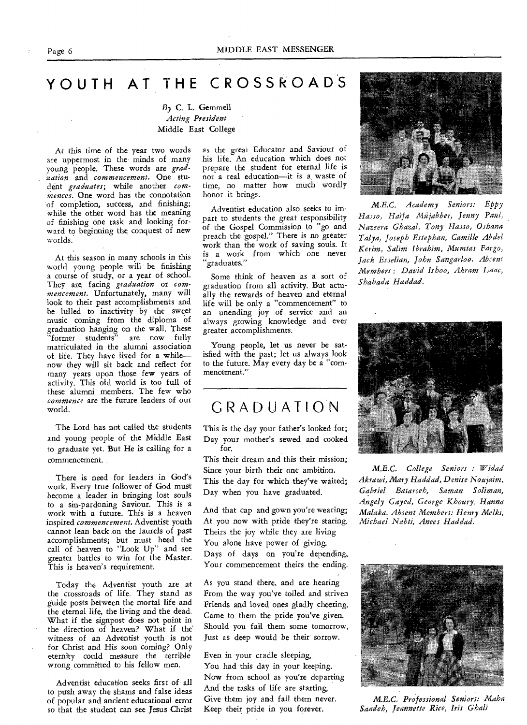# YOUTH AT THE CROSSROAD'S

## *By* C. L. Gemmell *Acting President*  Middle East College

At this time of the year two words are uppermost in the minds of many young people. These words are *graduation* and *commencement.* One student *graduates;* while another *commences.* One word has the connotation of completion, success, and finishing; while the other word has the meaning of finishing one task and looking forward to beginning the conquest of new worlds.

At this season in many schools in this world young people will be finishing a course of study, or a year of school. They ate, facing *graduation* or *commencement.* Unfortunately, many will look to their past accomplishments and be lulled to inactivity by the sweet music coming from the diploma of graduation hanging on the wall. These "former students" are now fully matriculated in the alumni association of life. They have lived for a while now they will sit back and reflect for many years upon those few years of activity. This old world is too full of these alumni members. The few who *commence* are the future leaders of our world.

The Lord has not called the students and young people of the Middle East to graduate yet. But He is calling for a commencement.

There is need for leaders in God's work. Every true follower of God must become a leader in bringing lost souls to a sin-pardoning Saviour. This is a work with a future. This is a heaven inspired *commencement.* Adventist youth cannot lean back on the laurels of past accomplishments; but must heed the call of heaven to "Look Up" and see greater battles to win for the Master. This is heaven's requirement.

Today the Adventist youth are at the crossroads of life. They stand as guide posts between the mortal life and the eternal life, the living and the dead. What if the signpost does not point in the direction of heaven? What if the' witness of an Adventist youth is not for Christ and His soon coming? Only eternity could measure the terrible wrong committed to his fellow men.

Adventist education seeks first of all to push away the shams and false ideas of popular and ancient educational error so that the student can see Jesus Christ as the great Educator and Saviour of his life. An education which does not prepare the student for eternal life is not a real education—it is a waste of time, no matter how much wordly honor it brings.

Adventist education also seeks to impart to students the great responsibility of the Gospel Commission to "go and preach the gospel." There is no greater work than the work of saving souls. It is a work from which one never "graduates."

Some think of heaven as a sort of graduation from all activity. But actually the rewards of heaven and eternal life will be only a "commencement" to an unending joy of service and an always growing knowledge and ever greater accomplishments.

Young people, let us never be satisfied with the past; let us always look to the future. May every day be a "commencement."

# GRADUATION

This is the day your father's looked for; Day your mother's sewed and cooked for.

This their dream and this their mission; Since your birth their one ambition. This the day for which they've waited; Day when you have graduated.

And that cap and gown you're wearing; At you now with pride they're staring. Theirs the joy while they are living You alone have power of giving. Days of days on you're depending, Your commencement theirs the ending.

As you stand there, and are hearing From the way you've toiled and striven Friends and loved ones gladly cheering, Came to them the pride you've given. Should you fail them some tomorrow, Just as deep would be their sorrow.

Even in your cradle sleeping, You had this day in your keeping. Now from school as you're departing And the tasks of life are starting, Give them joy and fail them never. Keep their pride in you forever.



*M.E.C. Academy Seniors: Eppy Hasso, Haifa Mhjabber, Jenny Paul, Nazeera Ghazal, Tony Hasso, Oshana Talya, Joseph Estephan, Camille Abdel Kerim, Salim Ibrahim, Mumtas Fargo, Jack Esselian, John Sangarloo. Absent Members: David lshoo, Akram Isaac, Shahada Haddad.* 



*M.E.C. College Seniors : Widad*  Akrawi, Mary Haddad, Denise Noujaim, *Gabriel Batarseh, Saman Soliman, Angely Gayed, George Khoury, Hanna Malaka. Absent Members: Henry Melki, Michael Nabti, Anees Haddad.* 



*M.E.C. Professional Seniors: Maha Saadeh, Jeannette Rice, Iris Ghali*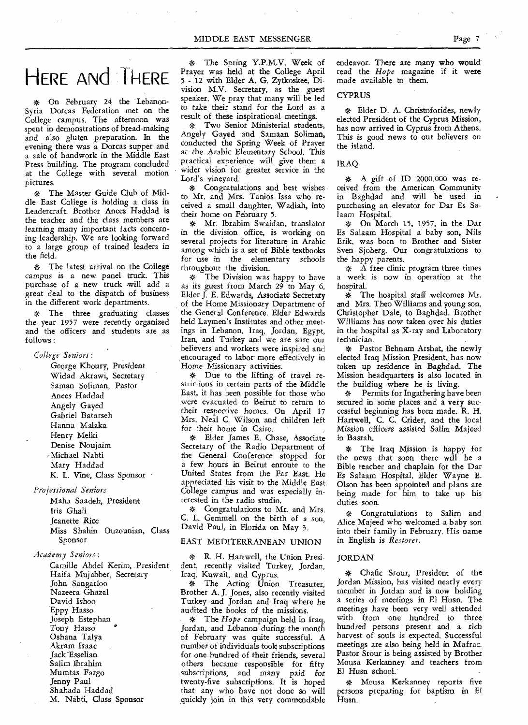# HERE ANd THERE

\* On February 24 the Lebanon-Syria Dorcas Federation met on the College campus. The afternoon was spent in demonstrations of bread-making and also gluten preparation. In the evening there was a Dorcas supper and a sale of handwork in the Middle East Press building. The program concluded at the College with several motion pictures.

\* The Master Guide Club of Middle East College is holding a class in Leadercraft. Brother Anees Haddad is the teacher and the class members are learning many important facts concerning leadership. We are looking forward to a large group of trained leaders in the field.

\* The latest arrival on the College campus is a new panel truck. This purchase of a new truck .will add a great deal to the dispatch of business in the different work departments.

The three graduating classes the year 1957 were recently organized and the officers and students are as follows :

*College Seniors:* 

George Khoury, President Widad Akrawi, Secretary Saman Soliman, Pastor Anees Haddad Angely Gayed Gabriel Batarseh Hanna Malaka Henry Melki Denise Noujaim /Michael Nabti Mary Haddad K. L. Vine, Class Sponsor

*Professional Seniors* 

Maha Saadeh, President Iris Ghali Jeanette Rice Miss Shahin Ouzounian, Class Sponsor

*Academy Seniors:* 

Camille Abdel *Kerim,* President Haifa Mujabber, Secretary John Sangarloo Nazeera Ghazal David Ishoo Eppy Hasso Joseph Estephan Tony Hasso Oshana Talya Akram Isaac Jack Esselian Salim Ibrahim Mumtas Fargo Jenny Paul Shahada Haddad M. Nabti, Class Sponsor

\* The Spring Y.P.M.V. Week of Prayer was held at the College April 5 - 12 with Elder A. G. Zytkoskee, Division M.V. Secretary, as the guest speaker. We pray that many will be led to take their stand for the Lord as a result of these inspirational meetings.

\* Two Senior Ministerial students, Angely Gayed and Samaan Soliman, conducted the Spring Week of Prayer at the Arabic Elementary School. This practical experience will give them a wider vision for greater service in the Lord's vineyard.

\* Congratulations and best wishes to Mr. and Mrs. Tanios Issa who received a small daughter, Wadiah, into their home on February 5.

\* Mr. Ibrahim Swaidan, translator in the division office, is working on several projects for literature in Arabic among which is a set of Bible textbooks for use in the elementary schools throughout the division.

\* The Division was happy to have as its guest from March 29 to May 6, Elder J. E. Edwards, Associate Secretary of the Home Missionary Department of the General Conference. Elder Edwards held Laymen's Institutes and other meetings in Lebanon, Iraq, Jordan, Egypt, Iran, and Turkey and we are sure our believers and workers were inspired and encouraged to labor more effectively in Home Missionary activities.

\* Due to the lifting of travel restrictions in certain parts of the Middle East, it has been possible for those who were evacuated to Beirut to return to their respective homes. On April 17 Mrs. Neal C. Wilson and children left for their home in Cairo.

\* Elder James E. Chase, Associate Secretary of the Radio Department of the General Conference stopped for a few hours in Beirut enroute to the United States from the Far East. He appreciated his visit to the Middle East College campus and was especially interested in the radio studio.

\* Congratulations to Mr. and Mrs. C. L. Gemmell on the birth of a son, David Paul, in Florida on May 3.

### EAST MEDITERRANEAN UNION

\* R. H. Hartwell, the Union President, recently visited Turkey, Jordan, Iraq, Kuwait, and Cyprus.

\* The Acting Union Treasurer, Brother A. J. Jones, also recently visited Turkey and Jordan and Iraq where he audited the books of the *missions.* 

\* The *Hope* campaign held in Iraq, Jordan, and Lebanon during the month of February was quite successful. A number of individuals took subscriptions for one hundred of their friends, several others became responsible for fifty subscriptions, and many paid for twenty-five subscriptions. It is hoped that any who have not done so will quickly join in this very commendable

endeavor. There are many who would read the *Hope* magazine if it were made available to them.

### **CYPRUS**

\* Elder D. A. Christoforides, newly elected President of the Cyprus Mission, has now arrived in Cyprus from Athens. This is good news to our believers on the island.

### IRAQ

\* A gift of ID 2000.000 was received from the American Community in Baghdad and will be used in purchasing an elevator for Dar Es Salaam Hospital.

\* On March 15, 1957, in the Dar Es Salaam Hospital a baby son, Nils Erik, was born to Brother and Sister Sven Sjoberg. Our congratulations to the happy parents.

\* A free clinic program three times a week is now in operation at the hospital.

\* The hospital staff welcomes Mr. and Mrs. Theo Williams and young son, Christopher Dale, to Baghdad. Brother Williams has now taken over his duties in the hospital as X-ray and Laboratory technician.

\* Pastor Behnam Arshat, the newly elected Iraq Mission President, has now taken up residence in Baghdad. The Mission headquarters is also located in the building where he is living.

\* Permits for Ingathering have been secured in some places and a very successful beginning has been made. R. H. Hartwell, C. C. Crider, and the local Mission officers assisted Salim Majeed in Basrah.

\* The Iraq Mission is happy for the news that soon there will be a Bible teacher and chaplain for the Dar Es Salaam Hospital. Elder Wayne E. Olson has been appointed and plans are being made for him to take up his duties soon.

\* Congratulations to Salim and Alice Majeed who welcomed a baby son into their family in February. His name in English is *Restorer.* 

### JORDAN

Chafic Srour, President of the Jordan Mission, has visited nearly every member in Jordan and is now holding a series of meetings in El Husn. The meetings have been very well attended with from one hundred to three hundred persons present and a rich harvest of souls is expected. Successful meetings are also being held in Mafrac. Pastor Srour is being assisted by Brother Mousa Kerkanney and teachers from El Husn school.

• Mousa Kerkanney reports five persons preparing for baptism in El Husn.